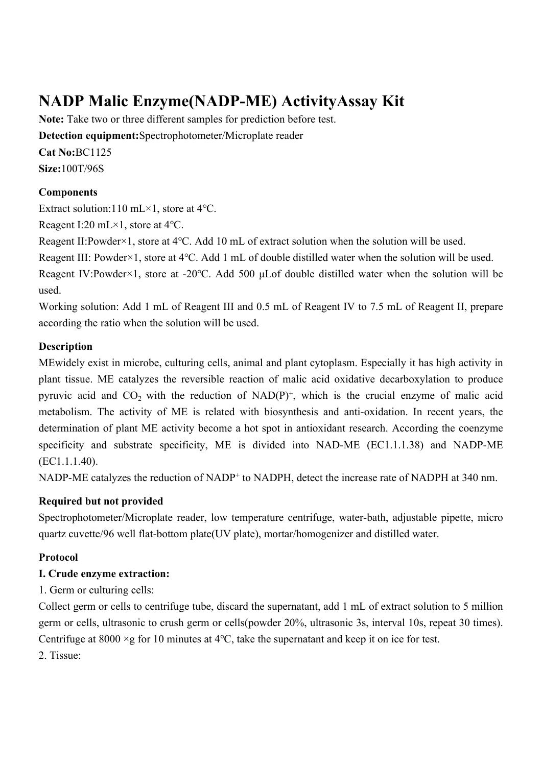# **NADP Malic Enzyme(NADP-ME) ActivityAssay Kit**

**Note:** Take two or three different samples for prediction before test. **Detection equipment:**Spectrophotometer/Microplate reader **Cat No:**BC1125 **Size:**100T/96S

#### **Components**

Extract solution:110 mL×1, store at 4℃.

Reagent I:20 mL×1, store at 4℃.

Reagent II:Powder×1, store at 4℃. Add 10 mL of extract solution when the solution will be used.

Reagent III: Powder×1, store at 4℃. Add 1 mL of double distilled water when the solution will be used.

Reagent IV:Powder×1, store at -20℃. Add 500 μLof double distilled water when the solution will be used.

Working solution: Add 1 mL of Reagent III and 0.5 mL of Reagent IV to 7.5 mL of Reagent II, prepare according the ratio when the solution will be used.

#### **Description**

MEwidely exist in microbe, culturing cells, animal and plant cytoplasm. Especially it has high activity in plant tissue. ME catalyzes the reversible reaction of malic acid oxidative decarboxylation to produce pyruvic acid and  $CO_2$  with the reduction of  $NAD(P)^+$ , which is the crucial enzyme of malic acid metabolism. The activity of ME is related with biosynthesis and anti-oxidation. In recent years, the determination of plant ME activity become a hot spot in antioxidant research. According the coenzyme specificity and substrate specificity, ME is divided into NAD-ME (EC1.1.1.38) and NADP-ME (EC1.1.1.40).

NADP-ME catalyzes the reduction of NADP<sup>+</sup> to NADPH, detect the increase rate of NADPH at 340 nm.

## **Required but not provided**

Spectrophotometer/Microplate reader, low temperature centrifuge, water-bath, adjustable pipette, micro quartz cuvette/96 well flat-bottom plate(UV plate), mortar/homogenizer and distilled water.

#### **Protocol**

#### **I. Crude enzyme extraction:**

1. Germ or culturing cells:

Collect germ or cells to centrifuge tube, discard the supernatant, add 1 mL of extract solution to 5 million germ or cells, ultrasonic to crush germ or cells(powder 20%, ultrasonic 3s, interval 10s, repeat 30 times). Centrifuge at 8000 ×g for 10 minutes at 4℃, take the supernatant and keep it on ice for test.

2. Tissue: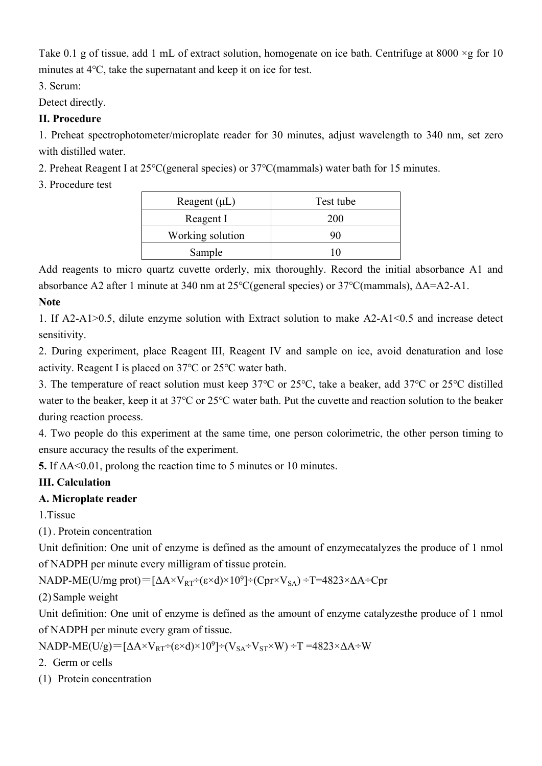Take 0.1 g of tissue, add 1 mL of extract solution, homogenate on ice bath. Centrifuge at 8000  $\times$ g for 10 minutes at 4℃, take the supernatant and keep it on ice for test.

3. Serum:

Detect directly.

# **II. Procedure**

1. Preheat spectrophotometer/microplate reader for 30 minutes, adjust wavelength to 340 nm, set zero with distilled water.

2. Preheat Reagent I at 25℃(general species) or 37℃(mammals) water bath for 15 minutes.

3. Procedure test

| Reagent $(\mu L)$ | Test tube  |
|-------------------|------------|
| Reagent I         | <b>200</b> |
| Working solution  |            |
| Sample            |            |

Add reagents to micro quartz cuvette orderly, mix thoroughly. Record the initial absorbance A1 and absorbance A2 after 1 minute at 340 nm at 25℃(general species) or 37℃(mammals), ΔA=A2-A1.

## **Note**

1. If A2-A1>0.5, dilute enzyme solution with Extract solution to make A2-A1<0.5 and increase detect sensitivity.

2. During experiment, place Reagent III, Reagent IV and sample on ice, avoid denaturation and lose activity. Reagent I is placed on 37℃ or 25℃ water bath.

3. The temperature of react solution must keep 37℃ or 25℃, take a beaker, add 37℃ or 25℃ distilled water to the beaker, keep it at 37℃ or 25℃ water bath. Put the cuvette and reaction solution to the beaker during reaction process.

4. Two people do this experiment at the same time, one person colorimetric, the other person timing to ensure accuracy the results of the experiment.

**5.** If ΔA˂0.01, prolong the reaction time to 5 minutes or 10 minutes.

# **III. Calculation**

# **A. Microplate reader**

1.Tissue

(1) . Protein concentration

Unit definition: One unit of enzyme is defined as the amount of enzymecatalyzes the produce of 1 nmol of NADPH per minute every milligram of tissue protein.

NADP-ME(U/mg prot)= $[\Delta A \times V_{RT} \div (\epsilon \times d) \times 10^9] \div (Cpr \times V_{SA}) \div T = 4823 \times \Delta A \div Cpr$ 

(2) Sample weight

Unit definition: One unit of enzyme is defined as the amount of enzyme catalyzesthe produce of 1 nmol of NADPH per minute every gram of tissue.

NADP-ME(U/g)=[ $\Delta A \times V_{RT} \div (\epsilon \times d) \times 10^9$ ]  $\div (V_{SA} \div V_{ST} \times W) \div T = 4823 \times \Delta A \div W$ 

- 2. Germ or cells
- (1) Protein concentration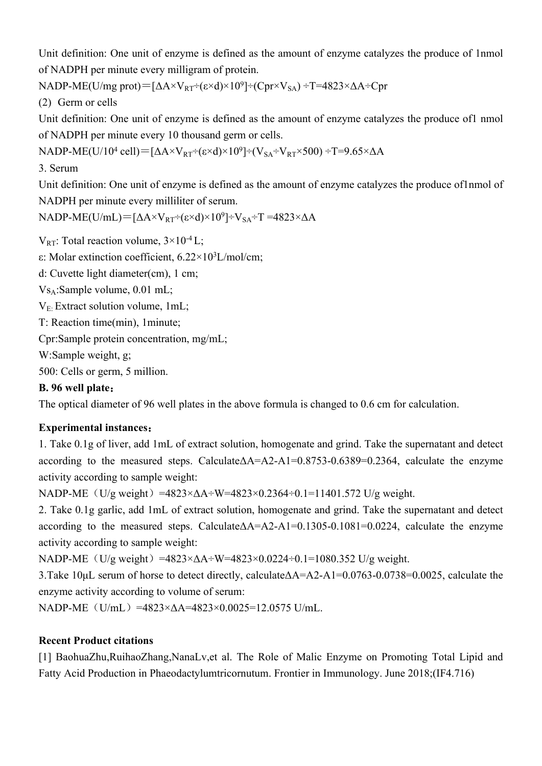Unit definition: One unit of enzyme is defined as the amount of enzyme catalyzes the produce of 1nmol of NADPH per minute every milligram of protein.

NADP-ME(U/mg prot)= $[\Delta A \times V_{RT} \div (\epsilon \times d) \times 10^9] \div (Cpr \times V_{SA}) \div T = 4823 \times \Delta A \div Cpr$ 

(2) Germ or cells

Unit definition: One unit of enzyme is defined as the amount of enzyme catalyzes the produce of1 nmol of NADPH per minute every 10 thousand germ or cells.

NADP-ME(U/10<sup>4</sup> cell)=[ΔA×V<sub>RT</sub>÷(ε×d)×10<sup>9</sup>]÷(V<sub>SA</sub>÷V<sub>RT</sub>×500) ÷T=9.65×ΔA

3. Serum

Unit definition: One unit of enzyme is defined as the amount of enzyme catalyzes the produce of1nmol of NADPH per minute every milliliter of serum.

 $NADP-ME(U/mL) = [\Delta A \times V_{RT} \div (\epsilon \times d) \times 10^9] \div V_{SA} \div T = 4823 \times \Delta A$ 

 $V_{RT}$ : Total reaction volume,  $3 \times 10^{-4}$  L;

ε: Molar extinction coefficient, 6.22×10<sup>3</sup>L/mol/cm;

d: Cuvette light diameter(cm), 1 cm;

VsA:Sample volume, 0.01 mL;

 $V_F$ . Extract solution volume, 1mL;

T: Reaction time(min), 1minute;

Cpr:Sample protein concentration, mg/mL;

W:Sample weight, g;

500: Cells or germ, 5 million.

## **B. 96 well plate:**

The optical diameter of 96 well plates in the above formula is changed to 0.6 cm for calculation.

## **Experimental instances:**

1. Take 0.1g of liver, add 1mL of extract solution, homogenate and grind. Take the supernatant and detect according to the measured steps. CalculateΔA=A2-A1=0.8753-0.6389=0.2364, calculate the enzyme activity according to sample weight:

NADP-ME (U/g weight)=4823× $\Delta$ A÷W=4823×0.2364÷0.1=11401.572 U/g weight.

2. Take 0.1g garlic, add 1mL of extract solution, homogenate and grind. Take the supernatant and detect according to the measured steps. CalculateΔA=A2-A1=0.1305-0.1081=0.0224, calculate the enzyme activity according to sample weight:

NADP-ME (U/g weight)=4823× $\Delta A \div W = 4823 \times 0.0224 \div 0.1 = 1080.352$  U/g weight.

3.Take 10μL serum of horse to detect directly, calculateΔA=A2-A1=0.0763-0.0738=0.0025, calculate the enzyme activity according to volume of serum:

NADP-ME (U/mL) =4823×ΔA=4823×0.0025=12.0575 U/mL.

## **Recent Product citations**

[1] BaohuaZhu,RuihaoZhang,NanaLv,et al. The Role of Malic Enzyme on Promoting Total Lipid and Fatty Acid Production in Phaeodactylumtricornutum. Frontier in Immunology. June 2018;(IF4.716)